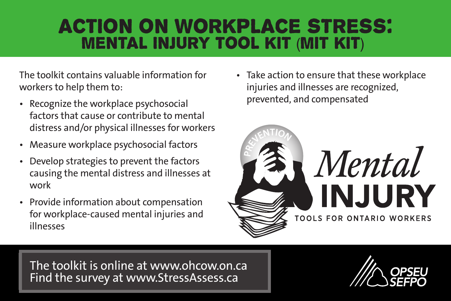# Action on Workplace Stress: Mental injury Tool Kit (MIT KIT)

The toolkit contains valuable information for workers to help them to:

- Recognize the workplace psychosocial factors that cause or contribute to mental distress and/or physical illnesses for workers
- Measure workplace psychosocial factors
- Develop strategies to prevent the factors causing the mental distress and illnesses at work
- Provide information about compensation for workplace-caused mental injuries and illnesses

• Take action to ensure that these workplace injuries and illnesses are recognized, prevented, and compensated



The toolkit is online at www.ohcow.on.ca Find the survey at www.StressAssess.ca